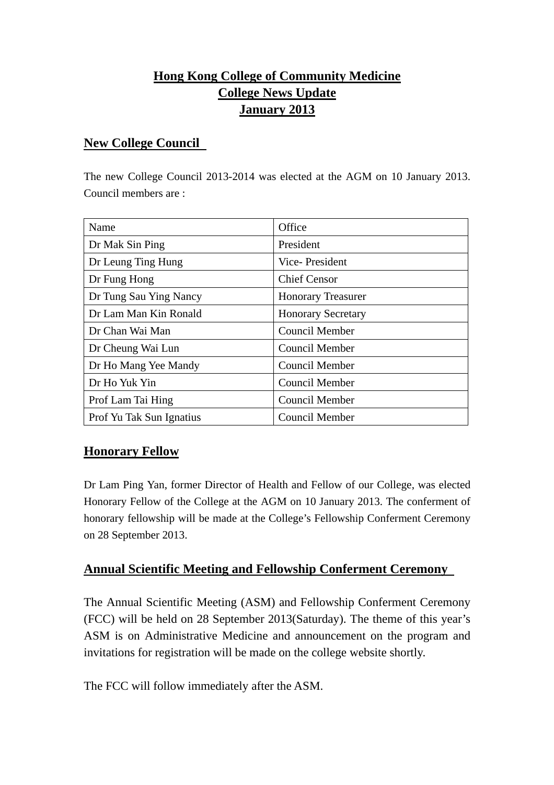# **Hong Kong College of Community Medicine College News Update January 2013**

#### **New College Council**

The new College Council 2013-2014 was elected at the AGM on 10 January 2013. Council members are :

| Name                     | Office                    |
|--------------------------|---------------------------|
| Dr Mak Sin Ping          | President                 |
| Dr Leung Ting Hung       | Vice-President            |
| Dr Fung Hong             | <b>Chief Censor</b>       |
| Dr Tung Sau Ying Nancy   | <b>Honorary Treasurer</b> |
| Dr Lam Man Kin Ronald    | <b>Honorary Secretary</b> |
| Dr Chan Wai Man          | Council Member            |
| Dr Cheung Wai Lun        | <b>Council Member</b>     |
| Dr Ho Mang Yee Mandy     | <b>Council Member</b>     |
| Dr Ho Yuk Yin            | Council Member            |
| Prof Lam Tai Hing        | <b>Council Member</b>     |
| Prof Yu Tak Sun Ignatius | <b>Council Member</b>     |

#### **Honorary Fellow**

Dr Lam Ping Yan, former Director of Health and Fellow of our College, was elected Honorary Fellow of the College at the AGM on 10 January 2013. The conferment of honorary fellowship will be made at the College's Fellowship Conferment Ceremony on 28 September 2013.

#### **Annual Scientific Meeting and Fellowship Conferment Ceremony**

The Annual Scientific Meeting (ASM) and Fellowship Conferment Ceremony (FCC) will be held on 28 September 2013(Saturday). The theme of this year's ASM is on Administrative Medicine and announcement on the program and invitations for registration will be made on the college website shortly.

The FCC will follow immediately after the ASM.